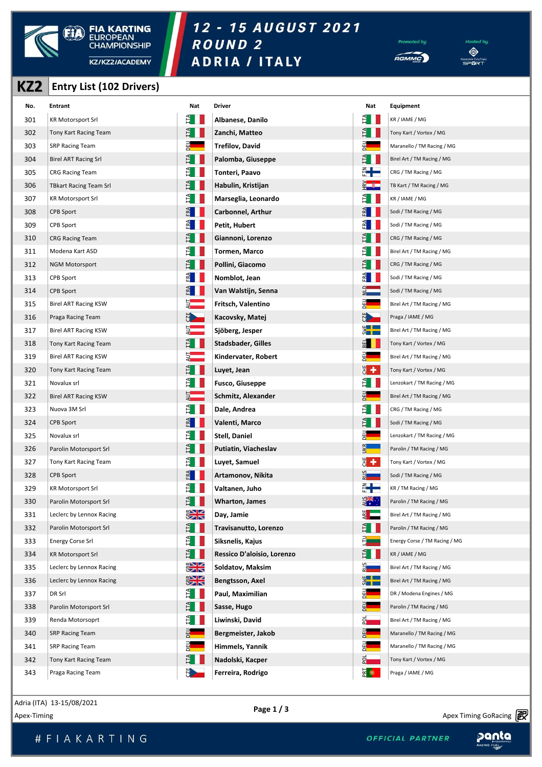

# 12 - 15 AUGUST 2021 ROUND<sub>2</sub>





#### **KZ2 Entry List (102 Drivers)**

| KZ <sub>2</sub> | <b>Entry List (102 Drivers)</b> |                                   |                            |                             |                               |
|-----------------|---------------------------------|-----------------------------------|----------------------------|-----------------------------|-------------------------------|
| No.             | <b>Entrant</b>                  | Nat                               | <b>Driver</b>              | Nat                         | Equipment                     |
| 301             | <b>KR Motorsport Srl</b>        | $E_{\parallel}$                   | Albanese, Danilo           | Ê I                         | KR / IAME / MG                |
| 302             | Tony Kart Racing Team           | Ě                                 | Zanchi, Matteo             |                             | Tony Kart / Vortex / MG       |
| 303             | <b>SRP Racing Team</b>          |                                   | Trefilov, David            |                             | Maranello / TM Racing / MG    |
| 304             | <b>Birel ART Racing Srl</b>     | Ě                                 | Palomba, Giuseppe          | $\mathsf{H}$                | Birel Art / TM Racing / MG    |
| 305             | <b>CRG Racing Team</b>          | È.                                | Tonteri, Paavo             | ┋╋                          | CRG / TM Racing / MG          |
| 306             | <b>TBkart Racing Team Srl</b>   | ĔI.                               | Habulin, Kristijan         |                             | TB Kart / TM Racing / MG      |
| 307             | <b>KR Motorsport Srl</b>        | Ê.                                | Marseglia, Leonardo        |                             | KR / IAME / MG                |
| 308             | CPB Sport                       | FRA                               | Carbonnel, Arthur          | ERA                         | Sodi / TM Racing / MG         |
| 309             | CPB Sport                       | শ                                 | Petit, Hubert              |                             | Sodi / TM Racing / MG         |
| 310             | <b>CRG Racing Team</b>          |                                   | Giannoni, Lorenzo          |                             | CRG / TM Racing / MG          |
| 311             | Modena Kart ASD                 | È.                                | Tormen, Marco              |                             | Birel Art / TM Racing / MG    |
| 312             | <b>NGM Motorsport</b>           | FT.                               | Pollini, Giacomo           |                             | CRG / TM Racing / MG          |
| 313             | CPB Sport                       | $F^{\mathbf{A}}$                  | Nomblot, Jean              |                             | Sodi / TM Racing / MG         |
| 314             | CPB Sport                       | ERZ                               | Van Walstijn, Senna        |                             | Sodi / TM Racing / MG         |
| 315             | <b>Birel ART Racing KSW</b>     | $\overline{z}$ and $\overline{z}$ | Fritsch, Valentino         | 뗀                           | Birel Art / TM Racing / MG    |
| 316             | Praga Racing Team               | <u>ND</u>                         | Kacovsky, Matej            | N <sub>2</sub>              | Praga / IAME / MG             |
| 317             | <b>Birel ART Racing KSW</b>     | $\frac{1}{2}$                     | Sjöberg, Jesper            | $\frac{1}{2}$               | Birel Art / TM Racing / MG    |
| 318             | Tony Kart Racing Team           | $\mathbf{H}$                      | Stadsbader, Gilles         | $E =$                       | Tony Kart / Vortex / MG       |
| 319             | Birel ART Racing KSW            |                                   | Kindervater, Robert        |                             | Birel Art / TM Racing / MG    |
| 320             | Tony Kart Racing Team           | E.                                | Luyet, Jean                | ₩,                          | Tony Kart / Vortex / MG       |
| 321             | Novalux srl                     | È.                                | <b>Fusco, Giuseppe</b>     |                             | Lenzokart / TM Racing / MG    |
| 322             | Birel ART Racing KSW            | ₹                                 | Schmitz, Alexander         |                             | Birel Art / TM Racing / MG    |
| 323             | Nuova 3M Srl                    | $\overline{H}$                    | Dale, Andrea               |                             | CRG / TM Racing / MG          |
| 324             | CPB Sport                       |                                   | Valenti, Marco             |                             | Sodi / TM Racing / MG         |
| 325             | Novalux srl                     |                                   | <b>Stell, Daniel</b>       |                             | Lenzokart / TM Racing / MG    |
| 326             | Parolin Motorsport Srl          | E.                                | Putiatin, Viacheslav       | <u>ла</u>                   | Parolin / TM Racing / MG      |
| 327             | Tony Kart Racing Team           | Ĕ                                 | Luyet, Samuel              | 뵈                           | Tony Kart / Vortex / MG       |
| 328             | CPB Sport                       | $F_{\text{R}}$                    | Artamonov, Nikita          | 5<br>Z <b>ENDER</b>         | Sodi / TM Racing / MG         |
| 329             | <b>KR Motorsport Srl</b>        | $H_{\rm H}$                       | Valtanen, Juho             | ╣╋═                         | KR / TM Racing / MG           |
| 330             | Parolin Motorsport Srl          | $\mathbf{H}$                      | <b>Wharton, James</b>      | $\frac{1}{2}$               | Parolin / TM Racing / MG      |
| 331             | Leclerc by Lennox Racing        | $\frac{1}{2}$                     | Day, Jamie                 | ¥L                          | Birel Art / TM Racing / MG    |
| 332             | Parolin Motorsport Srl          | $H_{\rm H}$                       | Travisanutto, Lorenzo      | È I                         | Parolin / TM Racing / MG      |
| 333             | <b>Energy Corse Srl</b>         | Ê                                 | Siksnelis, Kajus           |                             | Energy Corse / TM Racing / MG |
| 334             | <b>KR Motorsport Srl</b>        | $\mathbf{H}$                      | Ressico D'aloisio, Lorenzo |                             | KR / IAME / MG                |
| 335             | Leclerc by Lennox Racing        | $\frac{2}{3}$                     | Soldatov, Maksim           | <u> ध</u>                   | Birel Art / TM Racing / MG    |
| 336             | Leclerc by Lennox Racing        | $rac{1}{2}$                       | Bengtsson, Axel            | $rac{1}{2}$                 | Birel Art / TM Racing / MG    |
| 337             | DR Srl                          | È II                              | Paul, Maximilian           |                             | DR / Modena Engines / MG      |
| 338             | Parolin Motorsport Srl          | $\mathbb{H}$                      | Sasse, Hugo                | 테                           | Parolin / TM Racing / MG      |
| 339             | Renda Motorsoprt                | ETA.                              | Liwinski, David            | 핢                           | Birel Art / TM Racing / MG    |
| 340             | <b>SRP Racing Team</b>          | 메                                 | Bergmeister, Jakob         | DEU<br>L                    | Maranello / TM Racing / MG    |
| 341             | <b>SRP Racing Team</b>          |                                   | Himmels, Yannik            |                             | Maranello / TM Racing / MG    |
| 342             | Tony Kart Racing Team           | E.                                | Nadolski, Kacper           | $\overline{a}$              | Tony Kart / Vortex / MG       |
| 343             | Praga Racing Team               | $\sum_{i=1}^{n}$                  | Ferreira, Rodrigo          | $\frac{1}{2}$ $\frac{1}{2}$ | Praga / IAME / MG             |

Apex-Timing 13-13/06/2021<br>Apex-Timing GoRacing **Property and Apex Timing GoRacing Property** Adria (ITA) 13-15/08/2021

panta

Apex Timing - timing solutions and services https://www.apex-timing.com/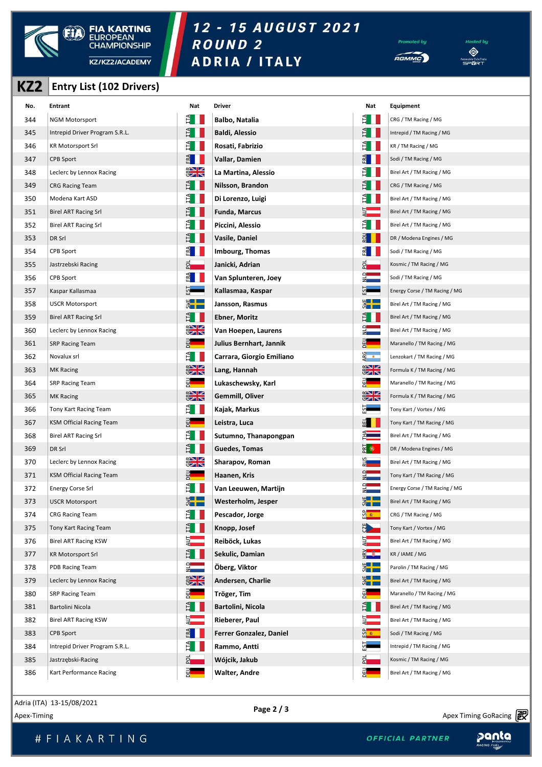

# 12 - 15 AUGUST 2021 ROUND<sub>2</sub>





#### **KZ2 Entry List (102 Drivers)**

| KZ2 | <b>Entry List (102 Drivers)</b> |                      |                           |                    |                               |
|-----|---------------------------------|----------------------|---------------------------|--------------------|-------------------------------|
| No. | <b>Entrant</b>                  | Nat                  | Driver                    | Nat                | <b>Equipment</b>              |
| 344 | <b>NGM Motorsport</b>           |                      | <b>Balbo, Natalia</b>     | IΤΑ                | CRG / TM Racing / MG          |
| 345 | Intrepid Driver Program S.R.L.  |                      | Baldi, Alessio            |                    | Intrepid / TM Racing / MG     |
| 346 | <b>KR Motorsport Srl</b>        |                      | Rosati, Fabrizio          |                    | KR / TM Racing / MG           |
| 347 | CPB Sport                       |                      | Vallar, Damien            |                    | Sodi / TM Racing / MG         |
| 348 | Leclerc by Lennox Racing        | $\frac{1}{2}$        | La Martina, Alessio       |                    | Birel Art / TM Racing / MG    |
| 349 | <b>CRG Racing Team</b>          | È                    | Nilsson, Brandon          |                    | CRG / TM Racing / MG          |
| 350 | Modena Kart ASD                 |                      | Di Lorenzo, Luigi         |                    | Birel Art / TM Racing / MG    |
| 351 | Birel ART Racing Srl            |                      | Funda, Marcus             |                    | Birel Art / TM Racing / MG    |
| 352 | <b>Birel ART Racing Srl</b>     |                      | Piccini, Alessio          |                    | Birel Art / TM Racing / MG    |
| 353 | DR Srl                          |                      | Vasile, Daniel            |                    | DR / Modena Engines / MG      |
| 354 | CPB Sport                       |                      | Imbourg, Thomas           | ਖ਼                 | Sodi / TM Racing / MG         |
| 355 | Jastrzebski Racing              |                      | Janicki, Adrian           | 힠                  | Kosmic / TM Racing / MG       |
| 356 | CPB Sport                       |                      | Van Splunteren, Joey      |                    | Sodi / TM Racing / MG         |
| 357 | Kaspar Kallasmaa                |                      | Kallasmaa, Kaspar         |                    | Energy Corse / TM Racing / MG |
| 358 | <b>USCR Motorsport</b>          | ी∎ ⊏                 | Jansson, Rasmus           | 3 L L              | Birel Art / TM Racing / MG    |
| 359 | Birel ART Racing Srl            | Ĕ                    | <b>Ebner, Moritz</b>      | È                  | Birel Art / TM Racing / MG    |
| 360 | Leclerc by Lennox Racing        | $\frac{1}{2}$        | Van Hoepen, Laurens       |                    | Birel Art / TM Racing / MG    |
| 361 | <b>SRP Racing Team</b>          | 밃                    | Julius Bernhart, Jannik   |                    | Maranello / TM Racing / MG    |
| 362 | Novalux srl                     |                      | Carrara, Giorgio Emiliano | $rac{G}{\sqrt{2}}$ | Lenzokart / TM Racing / MG    |
| 363 | <b>MK Racing</b>                | $\frac{1}{2}$        | Lang, Hannah              | $\frac{1}{2}$      | Formula K / TM Racing / MG    |
| 364 | <b>SRP Racing Team</b>          |                      | Lukaschewsky, Karl        | 델                  | Maranello / TM Racing / MG    |
| 365 | <b>MK Racing</b>                | $\frac{1}{2}$        | Gemmill, Oliver           | $\frac{1}{2}$      | Formula K / TM Racing / MG    |
| 366 | Tony Kart Racing Team           |                      | Kajak, Markus             |                    | Tony Kart / Vortex / MG       |
| 367 | KSM Official Racing Team        |                      | Leistra, Luca             | 3EI                | Tony Kart / TM Racing / MG    |
| 368 | <b>Birel ART Racing Srl</b>     |                      | Sutumno, Thanapongpan     | 즤                  | Birel Art / TM Racing / MG    |
| 369 | DR Srl                          |                      | Guedes, Tomas             | $R \odot$          | DR / Modena Engines / MG      |
| 370 | Leclerc by Lennox Racing        | $\frac{2}{3}$        | Sharapov, Roman           | 긟                  | Birel Art / TM Racing / MG    |
| 371 | KSM Official Racing Team        | a <sub>a</sub>       | Haanen, Kris              | $\Box$<br>z—       | Tony Kart / TM Racing / MG    |
| 372 | <b>Energy Corse Srl</b>         | Ĕ                    | Van Leeuwen, Martijn      |                    | Energy Corse / TM Racing / MG |
| 373 | <b>USCR Motorsport</b>          |                      | Westerholm, Jesper        | $rac{1}{2}$        | Birel Art / TM Racing / MG    |
| 374 | <b>CRG Racing Team</b>          |                      | Pescador, Jorge           | <mark>တို ⊛</mark> | CRG / TM Racing / MG          |
| 375 | Tony Kart Racing Team           |                      | Knopp, Josef              | N                  | Tony Kart / Vortex / MG       |
| 376 | <b>Birel ART Racing KSW</b>     |                      | Reiböck, Lukas            |                    | Birel Art / TM Racing / MG    |
| 377 | <b>KR Motorsport Srl</b>        |                      | Sekulic, Damian           |                    | KR / IAME / MG                |
| 378 | PDB Racing Team                 |                      | Öberg, Viktor             | $rac{1}{2}$        | Parolin / TM Racing / MG      |
| 379 | Leclerc by Lennox Racing        | $\frac{1}{\sqrt{2}}$ | Andersen, Charlie         | $rac{1}{2}$        | Birel Art / TM Racing / MG    |
| 380 | <b>SRP Racing Team</b>          |                      | Tröger, Tim               |                    | Maranello / TM Racing / MG    |
| 381 | Bartolini Nicola                | È                    | Bartolini, Nicola         | E                  | Birel Art / TM Racing / MG    |
| 382 | <b>Birel ART Racing KSW</b>     |                      | Rieberer, Paul            |                    | Birel Art / TM Racing / MG    |
| 383 | <b>CPB Sport</b>                |                      | Ferrer Gonzalez, Daniel   |                    | Sodi / TM Racing / MG         |
| 384 | Intrepid Driver Program S.R.L.  |                      | Rammo, Antti              |                    | Intrepid / TM Racing / MG     |
| 385 | Jastrzębski-Racing              |                      | Wójcik, Jakub             | 의                  | Kosmic / TM Racing / MG       |
| 386 | Kart Performance Racing         | 밃                    | Walter, Andre             | DEU                | Birel Art / TM Racing / MG    |

| Driver                    |
|---------------------------|
| Balbo, Natalia            |
| <b>Baldi, Alessio</b>     |
| Rosati, Fabrizio          |
| Vallar, Damien            |
| La Martina, Alessio       |
| Nilsson, Brandon          |
| Di Lorenzo, Luigi         |
| <b>Funda, Marcus</b>      |
| Piccini, Alessio          |
| Vasile, Daniel            |
| Imbourg, Thomas           |
| Janicki, Adrian           |
| Van Splunteren, Joey      |
| Kallasmaa, Kaspar         |
| Jansson, Rasmus           |
| <b>Ebner, Moritz</b>      |
| Van Hoepen, Laurens       |
| Julius Bernhart, Jannik   |
| Carrara, Giorgio Emiliano |
| Lang, Hannah              |
| Lukaschewsky, Karl        |
| Gemmill, Oliver           |
| Kajak, Markus             |
| Leistra, Luca             |
| Sutumno, Thanapongpan     |
| Guedes, Tomas             |
| Sharapov, Roman           |
| Haanen, Kris              |
| Van Leeuwen, Martijn      |
| Westerholm, Jesper        |
| Pescador, Jorge           |
| Knopp, Josef              |
| Reiböck, Lukas            |
| Sekulic, Damian           |
| Öberg, Viktor             |
| Andersen, Charlie         |
| Tröger, Tim               |
| Bartolini, Nicola         |
| Rieberer, Paul            |
| Ferrer Gonzalez, Daniel   |
| Rammo, Antti              |
| Wójcik, Jakub             |
| <b>Walter, Andre</b>      |

| ıt | Equipment                     |
|----|-------------------------------|
|    | CRG / TM Racing / MG          |
|    | Intrepid / TM Racing / MG     |
|    | KR / TM Racing / MG           |
|    | Sodi / TM Racing / MG         |
|    | Birel Art / TM Racing / MG    |
|    | CRG / TM Racing / MG          |
|    | Birel Art / TM Racing / MG    |
|    | Birel Art / TM Racing / MG    |
|    | Birel Art / TM Racing / MG    |
|    | DR / Modena Engines / MG      |
|    | Sodi / TM Racing / MG         |
|    | Kosmic / TM Racing / MG       |
|    | Sodi / TM Racing / MG         |
|    | Energy Corse / TM Racing / MG |
|    | Birel Art / TM Racing / MG    |
|    | Birel Art / TM Racing / MG    |
|    | Birel Art / TM Racing / MG    |
|    | Maranello / TM Racing / MG    |
|    | Lenzokart / TM Racing / MG    |
|    | Formula K / TM Racing / MG    |
|    | Maranello / TM Racing / MG    |
| K  | Formula K / TM Racing / MG    |
|    | Tony Kart / Vortex / MG       |
|    | Tony Kart / TM Racing / MG    |
|    | Birel Art / TM Racing / MG    |
|    | DR / Modena Engines / MG      |
|    | Birel Art / TM Racing / MG    |
|    | Tony Kart / TM Racing / MG    |
|    | Energy Corse / TM Racing / MG |
|    | Birel Art / TM Racing / MG    |
|    | CRG / TM Racing / MG          |
|    | Tony Kart / Vortex / MG       |
|    | Birel Art / TM Racing / MG    |
|    | KR / IAME / MG                |
|    | Parolin / TM Racing / MG      |
|    | Birel Art / TM Racing / MG    |
|    | Maranello / TM Racing / MG    |
|    | Birel Art / TM Racing / MG    |
|    | Birel Art / TM Racing / MG    |
|    | Sodi / TM Racing / MG         |
|    | Intrepid / TM Racing / MG     |
|    | Kosmic / TM Racing / MG       |
|    | Birel Art / TM Racing / MG    |

Adria (ITA) 13-15/08/2021

 $\frac{1}{2}$  Apex Timing GoRacing  $\frac{1}{2}$  Apex Timing GoRacing  $\frac{1}{2}$ 

Apex Timing - timing solutions and services https://www.apex-timing.com/